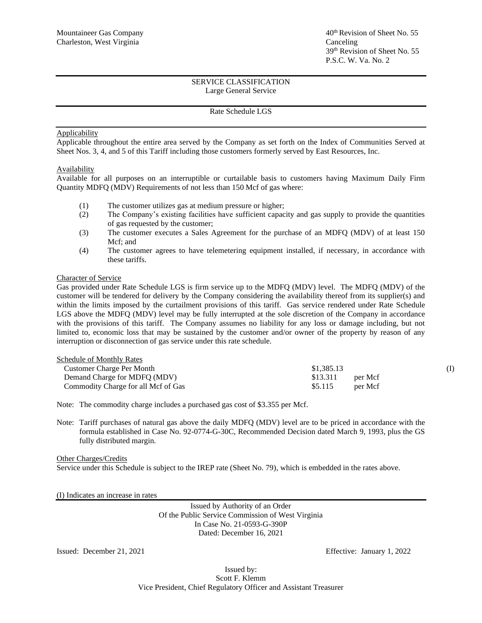## Rate Schedule LGS

#### Applicability

Applicable throughout the entire area served by the Company as set forth on the Index of Communities Served at Sheet Nos. 3, 4, and 5 of this Tariff including those customers formerly served by East Resources, Inc.

## **Availability**

Available for all purposes on an interruptible or curtailable basis to customers having Maximum Daily Firm Quantity MDFQ (MDV) Requirements of not less than 150 Mcf of gas where:

- (1) The customer utilizes gas at medium pressure or higher;
- (2) The Company's existing facilities have sufficient capacity and gas supply to provide the quantities of gas requested by the customer;
- (3) The customer executes a Sales Agreement for the purchase of an MDFQ (MDV) of at least 150 Mcf; and
- (4) The customer agrees to have telemetering equipment installed, if necessary, in accordance with these tariffs.

#### Character of Service

Gas provided under Rate Schedule LGS is firm service up to the MDFQ (MDV) level. The MDFQ (MDV) of the customer will be tendered for delivery by the Company considering the availability thereof from its supplier(s) and within the limits imposed by the curtailment provisions of this tariff. Gas service rendered under Rate Schedule LGS above the MDFQ (MDV) level may be fully interrupted at the sole discretion of the Company in accordance with the provisions of this tariff. The Company assumes no liability for any loss or damage including, but not limited to, economic loss that may be sustained by the customer and/or owner of the property by reason of any interruption or disconnection of gas service under this rate schedule.

| Schedule of Monthly Rates           |                     |  |
|-------------------------------------|---------------------|--|
| Customer Charge Per Month           | \$1,385.13          |  |
| Demand Charge for MDFQ (MDV)        | \$13.311<br>per Mcf |  |
| Commodity Charge for all Mcf of Gas | \$5.115<br>per Mcf  |  |

Note: The commodity charge includes a purchased gas cost of \$3.355 per Mcf.

Note: Tariff purchases of natural gas above the daily MDFQ (MDV) level are to be priced in accordance with the formula established in Case No. 92-0774-G-30C, Recommended Decision dated March 9, 1993, plus the GS fully distributed margin.

Other Charges/Credits

Service under this Schedule is subject to the IREP rate (Sheet No. 79), which is embedded in the rates above.

(I) Indicates an increase in rates

Issued by Authority of an Order Of the Public Service Commission of West Virginia In Case No. 21-0593-G-390P Dated: December 16, 2021

Issued: December 21, 2021 Effective: January 1, 2022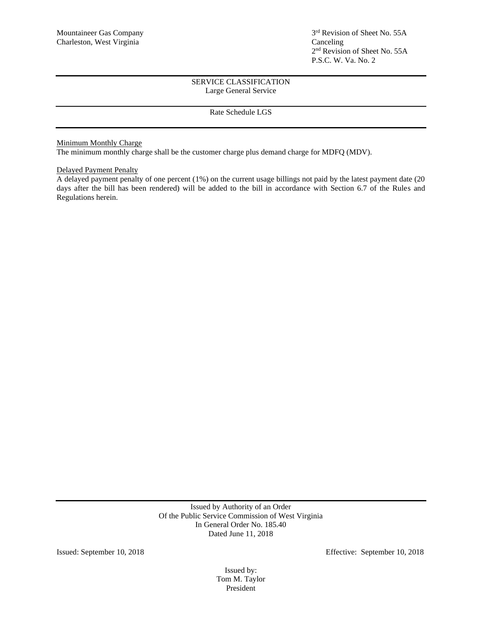# Rate Schedule LGS

Minimum Monthly Charge

The minimum monthly charge shall be the customer charge plus demand charge for MDFQ (MDV).

## Delayed Payment Penalty

A delayed payment penalty of one percent (1%) on the current usage billings not paid by the latest payment date (20 days after the bill has been rendered) will be added to the bill in accordance with Section 6.7 of the Rules and Regulations herein.

> Issued by Authority of an Order Of the Public Service Commission of West Virginia In General Order No. 185.40 Dated June 11, 2018

Issued: September 10, 2018 Effective: September 10, 2018

Issued by: Tom M. Taylor President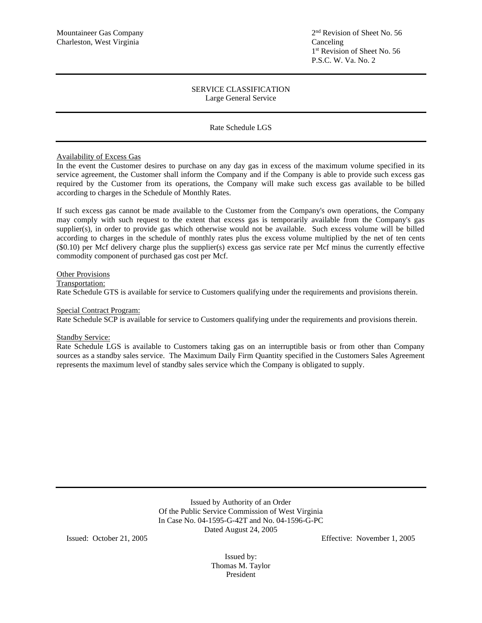## Rate Schedule LGS

## Availability of Excess Gas

In the event the Customer desires to purchase on any day gas in excess of the maximum volume specified in its service agreement, the Customer shall inform the Company and if the Company is able to provide such excess gas required by the Customer from its operations, the Company will make such excess gas available to be billed according to charges in the Schedule of Monthly Rates.

If such excess gas cannot be made available to the Customer from the Company's own operations, the Company may comply with such request to the extent that excess gas is temporarily available from the Company's gas supplier(s), in order to provide gas which otherwise would not be available. Such excess volume will be billed according to charges in the schedule of monthly rates plus the excess volume multiplied by the net of ten cents (\$0.10) per Mcf delivery charge plus the supplier(s) excess gas service rate per Mcf minus the currently effective commodity component of purchased gas cost per Mcf.

## Other Provisions

Transportation:

Rate Schedule GTS is available for service to Customers qualifying under the requirements and provisions therein.

#### Special Contract Program:

Rate Schedule SCP is available for service to Customers qualifying under the requirements and provisions therein.

#### **Standby Service:**

Rate Schedule LGS is available to Customers taking gas on an interruptible basis or from other than Company sources as a standby sales service. The Maximum Daily Firm Quantity specified in the Customers Sales Agreement represents the maximum level of standby sales service which the Company is obligated to supply.

> Issued by Authority of an Order Of the Public Service Commission of West Virginia In Case No. 04-1595-G-42T and No. 04-1596-G-PC Dated August 24, 2005

Issued: October 21, 2005 Effective: November 1, 2005

Issued by: Thomas M. Taylor President